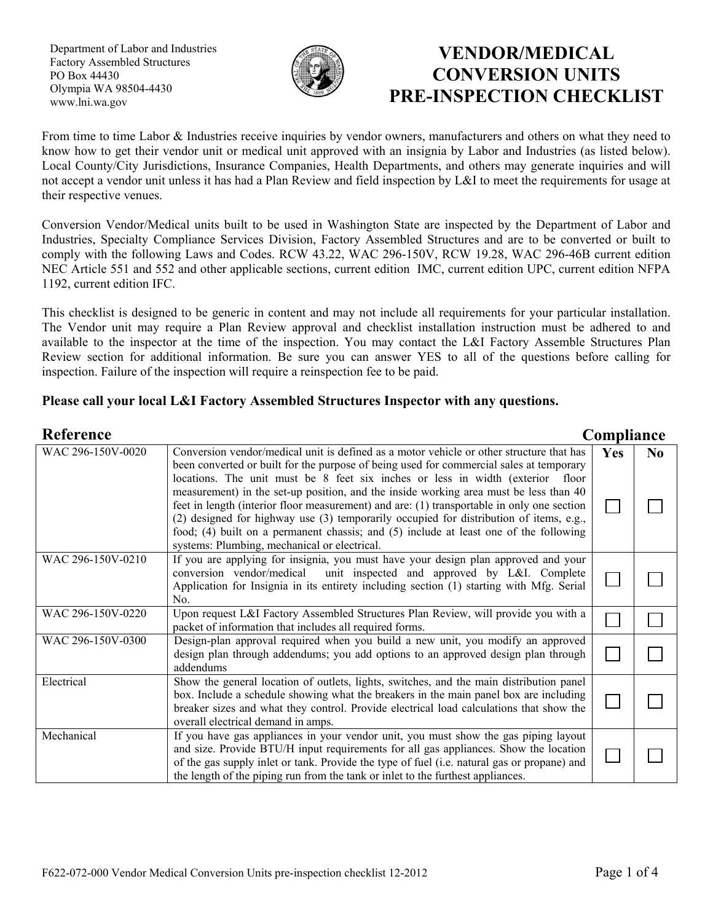Department of Labor and Industries Factory Assembled Structures PO Box 44430 Olympia WA 98504-4430 www.lni.wa.gov



## **VENDOR/MEDICAL CONVERSION UNITS PRE-INSPECTION CHECKLIST**

From time to time Labor & Industries receive inquiries by vendor owners, manufacturers and others on what they need to know how to get their vendor unit or medical unit approved with an insignia by Labor and Industries (as listed below). Local County/City Jurisdictions, Insurance Companies, Health Departments, and others may generate inquiries and will not accept a vendor unit unless it has had a Plan Review and field inspection by L&I to meet the requirements for usage at their respective venues.

Conversion Vendor/Medical units built to be used in Washington State are inspected by the Department of Labor and Industries, Specialty Compliance Services Division, Factory Assembled Structures and are to be converted or built to comply with the following Laws and Codes. RCW 43.22, WAC 296-150V, RCW 19.28, WAC 296-46B current edition NEC Article 551 and 552 and other applicable sections, current edition IMC, current edition UPC, current edition NFPA 1192, current edition IFC.

This checklist is designed to be generic in content and may not include all requirements for your particular installation. The Vendor unit may require a Plan Review approval and checklist installation instruction must be adhered to and available to the inspector at the time of the inspection. You may contact the L&I Factory Assemble Structures Plan Review section for additional information. Be sure you can answer YES to all of the questions before calling for inspection. Failure of the inspection will require a reinspection fee to be paid.

## **Please call your local L&I Factory Assembled Structures Inspector with any questions.**

| <b>Reference</b>  |                                                                                                                                                                                                                                                                                                                                                                                                                                                                                                                                                                                                     | Compliance |                |
|-------------------|-----------------------------------------------------------------------------------------------------------------------------------------------------------------------------------------------------------------------------------------------------------------------------------------------------------------------------------------------------------------------------------------------------------------------------------------------------------------------------------------------------------------------------------------------------------------------------------------------------|------------|----------------|
| WAC 296-150V-0020 | Conversion vendor/medical unit is defined as a motor vehicle or other structure that has                                                                                                                                                                                                                                                                                                                                                                                                                                                                                                            | <b>Yes</b> | N <sub>0</sub> |
|                   | been converted or built for the purpose of being used for commercial sales at temporary<br>locations. The unit must be 8 feet six inches or less in width (exterior floor<br>measurement) in the set-up position, and the inside working area must be less than 40<br>feet in length (interior floor measurement) and are: (1) transportable in only one section<br>(2) designed for highway use (3) temporarily occupied for distribution of items, e.g.,<br>food; (4) built on a permanent chassis; and (5) include at least one of the following<br>systems: Plumbing, mechanical or electrical. |            |                |
| WAC 296-150V-0210 | If you are applying for insignia, you must have your design plan approved and your<br>conversion vendor/medical unit inspected and approved by L&I. Complete<br>Application for Insignia in its entirety including section (1) starting with Mfg. Serial<br>No.                                                                                                                                                                                                                                                                                                                                     |            |                |
| WAC 296-150V-0220 | Upon request L&I Factory Assembled Structures Plan Review, will provide you with a<br>packet of information that includes all required forms.                                                                                                                                                                                                                                                                                                                                                                                                                                                       |            |                |
| WAC 296-150V-0300 | Design-plan approval required when you build a new unit, you modify an approved<br>design plan through addendums; you add options to an approved design plan through<br>addendums                                                                                                                                                                                                                                                                                                                                                                                                                   |            |                |
| Electrical        | Show the general location of outlets, lights, switches, and the main distribution panel<br>box. Include a schedule showing what the breakers in the main panel box are including<br>breaker sizes and what they control. Provide electrical load calculations that show the<br>overall electrical demand in amps.                                                                                                                                                                                                                                                                                   |            |                |
| Mechanical        | If you have gas appliances in your vendor unit, you must show the gas piping layout<br>and size. Provide BTU/H input requirements for all gas appliances. Show the location<br>of the gas supply inlet or tank. Provide the type of fuel (i.e. natural gas or propane) and<br>the length of the piping run from the tank or inlet to the furthest appliances.                                                                                                                                                                                                                                       |            |                |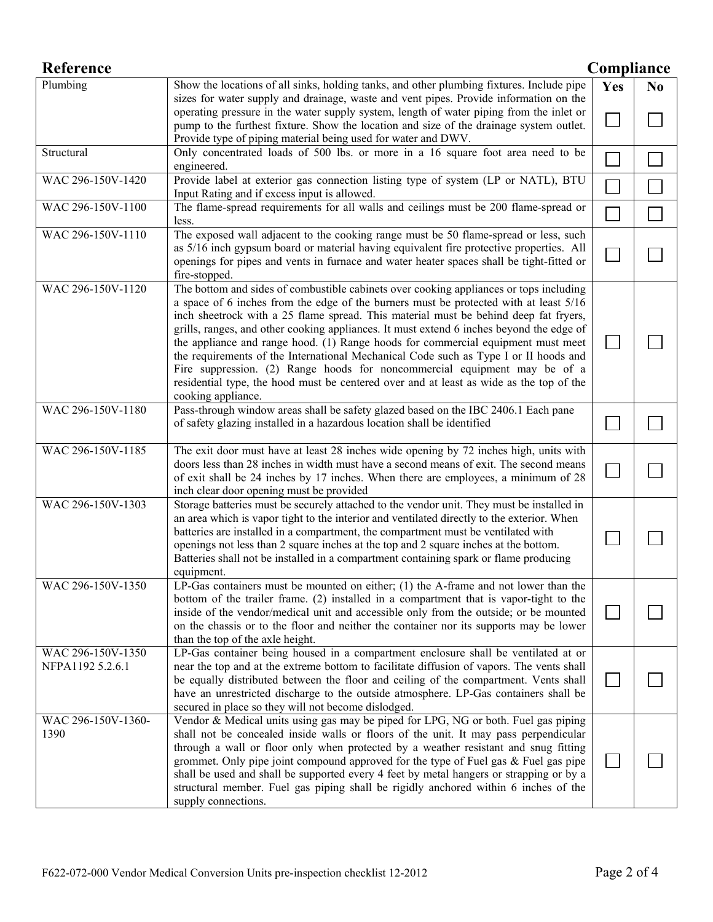| <b>Reference</b>                      |                                                                                                                                                                                                                                                                                                                                                                                                                                                                                                                                                                                                                                                                                                                                               | Compliance |    |
|---------------------------------------|-----------------------------------------------------------------------------------------------------------------------------------------------------------------------------------------------------------------------------------------------------------------------------------------------------------------------------------------------------------------------------------------------------------------------------------------------------------------------------------------------------------------------------------------------------------------------------------------------------------------------------------------------------------------------------------------------------------------------------------------------|------------|----|
| Plumbing                              | Show the locations of all sinks, holding tanks, and other plumbing fixtures. Include pipe<br>sizes for water supply and drainage, waste and vent pipes. Provide information on the                                                                                                                                                                                                                                                                                                                                                                                                                                                                                                                                                            | Yes        | No |
|                                       | operating pressure in the water supply system, length of water piping from the inlet or<br>pump to the furthest fixture. Show the location and size of the drainage system outlet.<br>Provide type of piping material being used for water and DWV.                                                                                                                                                                                                                                                                                                                                                                                                                                                                                           |            |    |
| Structural                            | Only concentrated loads of 500 lbs. or more in a 16 square foot area need to be<br>engineered.                                                                                                                                                                                                                                                                                                                                                                                                                                                                                                                                                                                                                                                |            |    |
| WAC 296-150V-1420                     | Provide label at exterior gas connection listing type of system (LP or NATL), BTU<br>Input Rating and if excess input is allowed.                                                                                                                                                                                                                                                                                                                                                                                                                                                                                                                                                                                                             |            |    |
| WAC 296-150V-1100                     | The flame-spread requirements for all walls and ceilings must be 200 flame-spread or<br>less.                                                                                                                                                                                                                                                                                                                                                                                                                                                                                                                                                                                                                                                 |            |    |
| WAC 296-150V-1110                     | The exposed wall adjacent to the cooking range must be 50 flame-spread or less, such<br>as 5/16 inch gypsum board or material having equivalent fire protective properties. All<br>openings for pipes and vents in furnace and water heater spaces shall be tight-fitted or<br>fire-stopped.                                                                                                                                                                                                                                                                                                                                                                                                                                                  |            |    |
| WAC 296-150V-1120                     | The bottom and sides of combustible cabinets over cooking appliances or tops including<br>a space of 6 inches from the edge of the burners must be protected with at least 5/16<br>inch sheetrock with a 25 flame spread. This material must be behind deep fat fryers,<br>grills, ranges, and other cooking appliances. It must extend 6 inches beyond the edge of<br>the appliance and range hood. (1) Range hoods for commercial equipment must meet<br>the requirements of the International Mechanical Code such as Type I or II hoods and<br>Fire suppression. (2) Range hoods for noncommercial equipment may be of a<br>residential type, the hood must be centered over and at least as wide as the top of the<br>cooking appliance. |            |    |
| WAC 296-150V-1180                     | Pass-through window areas shall be safety glazed based on the IBC 2406.1 Each pane<br>of safety glazing installed in a hazardous location shall be identified                                                                                                                                                                                                                                                                                                                                                                                                                                                                                                                                                                                 |            |    |
| WAC 296-150V-1185                     | The exit door must have at least 28 inches wide opening by 72 inches high, units with<br>doors less than 28 inches in width must have a second means of exit. The second means<br>of exit shall be 24 inches by 17 inches. When there are employees, a minimum of 28<br>inch clear door opening must be provided                                                                                                                                                                                                                                                                                                                                                                                                                              |            |    |
| WAC 296-150V-1303                     | Storage batteries must be securely attached to the vendor unit. They must be installed in<br>an area which is vapor tight to the interior and ventilated directly to the exterior. When<br>batteries are installed in a compartment, the compartment must be ventilated with<br>openings not less than 2 square inches at the top and 2 square inches at the bottom.<br>Batteries shall not be installed in a compartment containing spark or flame producing<br>equipment.                                                                                                                                                                                                                                                                   |            |    |
| WAC 296-150V-1350                     | LP-Gas containers must be mounted on either; (1) the A-frame and not lower than the<br>bottom of the trailer frame. (2) installed in a compartment that is vapor-tight to the<br>inside of the vendor/medical unit and accessible only from the outside; or be mounted<br>on the chassis or to the floor and neither the container nor its supports may be lower<br>than the top of the axle height.                                                                                                                                                                                                                                                                                                                                          |            |    |
| WAC 296-150V-1350<br>NFPA1192 5.2.6.1 | LP-Gas container being housed in a compartment enclosure shall be ventilated at or<br>near the top and at the extreme bottom to facilitate diffusion of vapors. The vents shall<br>be equally distributed between the floor and ceiling of the compartment. Vents shall<br>have an unrestricted discharge to the outside atmosphere. LP-Gas containers shall be<br>secured in place so they will not become dislodged.                                                                                                                                                                                                                                                                                                                        |            |    |
| WAC 296-150V-1360-<br>1390            | Vendor & Medical units using gas may be piped for LPG, NG or both. Fuel gas piping<br>shall not be concealed inside walls or floors of the unit. It may pass perpendicular<br>through a wall or floor only when protected by a weather resistant and snug fitting<br>grommet. Only pipe joint compound approved for the type of Fuel gas $\&$ Fuel gas pipe<br>shall be used and shall be supported every 4 feet by metal hangers or strapping or by a<br>structural member. Fuel gas piping shall be rigidly anchored within 6 inches of the<br>supply connections.                                                                                                                                                                          |            |    |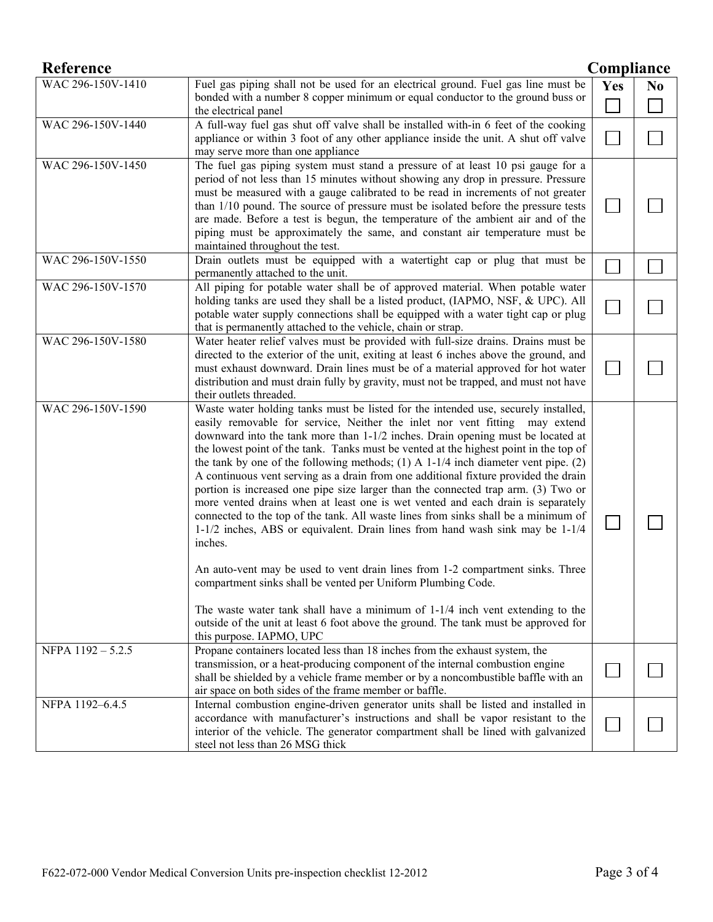| <b>Reference</b>  |                                                                                                                                                                                                                                                                                                                                                                                                                                                                                                                                                                                                                                                                                                                                                                                                                                                                                                                                                                                                                                                                                                                                                                                                                                                | Compliance |                |
|-------------------|------------------------------------------------------------------------------------------------------------------------------------------------------------------------------------------------------------------------------------------------------------------------------------------------------------------------------------------------------------------------------------------------------------------------------------------------------------------------------------------------------------------------------------------------------------------------------------------------------------------------------------------------------------------------------------------------------------------------------------------------------------------------------------------------------------------------------------------------------------------------------------------------------------------------------------------------------------------------------------------------------------------------------------------------------------------------------------------------------------------------------------------------------------------------------------------------------------------------------------------------|------------|----------------|
| WAC 296-150V-1410 | Fuel gas piping shall not be used for an electrical ground. Fuel gas line must be                                                                                                                                                                                                                                                                                                                                                                                                                                                                                                                                                                                                                                                                                                                                                                                                                                                                                                                                                                                                                                                                                                                                                              | Yes        | N <sub>0</sub> |
|                   | bonded with a number 8 copper minimum or equal conductor to the ground buss or<br>the electrical panel                                                                                                                                                                                                                                                                                                                                                                                                                                                                                                                                                                                                                                                                                                                                                                                                                                                                                                                                                                                                                                                                                                                                         |            |                |
| WAC 296-150V-1440 | A full-way fuel gas shut off valve shall be installed with-in 6 feet of the cooking<br>appliance or within 3 foot of any other appliance inside the unit. A shut off valve<br>may serve more than one appliance                                                                                                                                                                                                                                                                                                                                                                                                                                                                                                                                                                                                                                                                                                                                                                                                                                                                                                                                                                                                                                |            |                |
| WAC 296-150V-1450 | The fuel gas piping system must stand a pressure of at least 10 psi gauge for a<br>period of not less than 15 minutes without showing any drop in pressure. Pressure<br>must be measured with a gauge calibrated to be read in increments of not greater<br>than 1/10 pound. The source of pressure must be isolated before the pressure tests<br>are made. Before a test is begun, the temperature of the ambient air and of the<br>piping must be approximately the same, and constant air temperature must be<br>maintained throughout the test.                                                                                                                                                                                                                                                                                                                                                                                                                                                                                                                                                                                                                                                                                            |            |                |
| WAC 296-150V-1550 | Drain outlets must be equipped with a watertight cap or plug that must be<br>permanently attached to the unit.                                                                                                                                                                                                                                                                                                                                                                                                                                                                                                                                                                                                                                                                                                                                                                                                                                                                                                                                                                                                                                                                                                                                 |            |                |
| WAC 296-150V-1570 | All piping for potable water shall be of approved material. When potable water<br>holding tanks are used they shall be a listed product, (IAPMO, NSF, & UPC). All<br>potable water supply connections shall be equipped with a water tight cap or plug<br>that is permanently attached to the vehicle, chain or strap.                                                                                                                                                                                                                                                                                                                                                                                                                                                                                                                                                                                                                                                                                                                                                                                                                                                                                                                         |            |                |
| WAC 296-150V-1580 | Water heater relief valves must be provided with full-size drains. Drains must be<br>directed to the exterior of the unit, exiting at least 6 inches above the ground, and<br>must exhaust downward. Drain lines must be of a material approved for hot water<br>distribution and must drain fully by gravity, must not be trapped, and must not have<br>their outlets threaded.                                                                                                                                                                                                                                                                                                                                                                                                                                                                                                                                                                                                                                                                                                                                                                                                                                                               |            |                |
| WAC 296-150V-1590 | Waste water holding tanks must be listed for the intended use, securely installed,<br>easily removable for service, Neither the inlet nor vent fitting may extend<br>downward into the tank more than 1-1/2 inches. Drain opening must be located at<br>the lowest point of the tank. Tanks must be vented at the highest point in the top of<br>the tank by one of the following methods; (1) A $1-1/4$ inch diameter vent pipe. (2)<br>A continuous vent serving as a drain from one additional fixture provided the drain<br>portion is increased one pipe size larger than the connected trap arm. (3) Two or<br>more vented drains when at least one is wet vented and each drain is separately<br>connected to the top of the tank. All waste lines from sinks shall be a minimum of<br>1-1/2 inches, ABS or equivalent. Drain lines from hand wash sink may be 1-1/4<br>inches.<br>An auto-vent may be used to vent drain lines from 1-2 compartment sinks. Three<br>compartment sinks shall be vented per Uniform Plumbing Code.<br>The waste water tank shall have a minimum of $1-1/4$ inch vent extending to the<br>outside of the unit at least 6 foot above the ground. The tank must be approved for<br>this purpose. IAPMO, UPC |            |                |
| NFPA 1192-5.2.5   | Propane containers located less than 18 inches from the exhaust system, the<br>transmission, or a heat-producing component of the internal combustion engine<br>shall be shielded by a vehicle frame member or by a noncombustible baffle with an<br>air space on both sides of the frame member or baffle.                                                                                                                                                                                                                                                                                                                                                                                                                                                                                                                                                                                                                                                                                                                                                                                                                                                                                                                                    |            |                |
| NFPA 1192-6.4.5   | Internal combustion engine-driven generator units shall be listed and installed in<br>accordance with manufacturer's instructions and shall be vapor resistant to the<br>interior of the vehicle. The generator compartment shall be lined with galvanized<br>steel not less than 26 MSG thick                                                                                                                                                                                                                                                                                                                                                                                                                                                                                                                                                                                                                                                                                                                                                                                                                                                                                                                                                 |            |                |